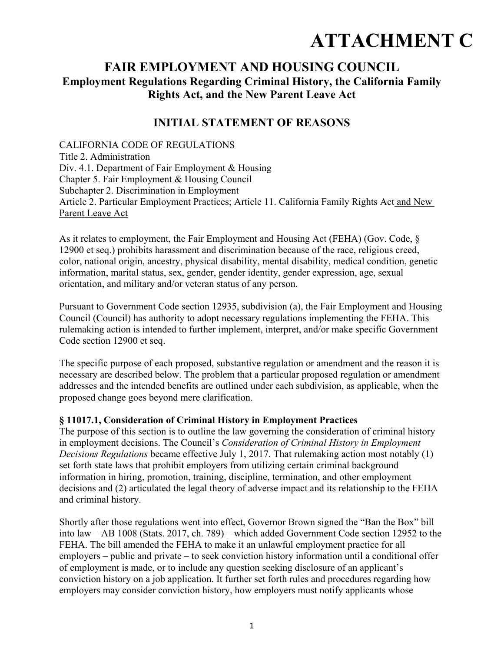# **ATTACHMENT C**

## **FAIR EMPLOYMENT AND HOUSING COUNCIL Employment Regulations Regarding Criminal History, the California Family Rights Act, and the New Parent Leave Act**

## **INITIAL STATEMENT OF REASONS**

CALIFORNIA CODE OF REGULATIONS Title 2. Administration Div. 4.1. Department of Fair Employment & Housing Chapter 5. Fair Employment & Housing Council Subchapter 2. Discrimination in Employment Article 2. Particular Employment Practices; Article 11. California Family Rights Act and New Parent Leave Act

As it relates to employment, the Fair Employment and Housing Act (FEHA) (Gov. Code, § 12900 et seq.) prohibits harassment and discrimination because of the race, religious creed, color, national origin, ancestry, physical disability, mental disability, medical condition, genetic information, marital status, sex, gender, gender identity, gender expression, age, sexual orientation, and military and/or veteran status of any person.

Pursuant to Government Code section 12935, subdivision (a), the Fair Employment and Housing Council (Council) has authority to adopt necessary regulations implementing the FEHA. This rulemaking action is intended to further implement, interpret, and/or make specific Government Code section 12900 et seq.

The specific purpose of each proposed, substantive regulation or amendment and the reason it is necessary are described below. The problem that a particular proposed regulation or amendment addresses and the intended benefits are outlined under each subdivision, as applicable, when the proposed change goes beyond mere clarification.

#### **§ 11017.1, Consideration of Criminal History in Employment Practices**

The purpose of this section is to outline the law governing the consideration of criminal history in employment decisions. The Council's *Consideration of Criminal History in Employment Decisions Regulations* became effective July 1, 2017. That rulemaking action most notably (1) set forth state laws that prohibit employers from utilizing certain criminal background information in hiring, promotion, training, discipline, termination, and other employment decisions and (2) articulated the legal theory of adverse impact and its relationship to the FEHA and criminal history.

Shortly after those regulations went into effect, Governor Brown signed the "Ban the Box" bill into law – AB 1008 (Stats. 2017, ch. 789) – which added Government Code section 12952 to the FEHA. The bill amended the FEHA to make it an unlawful employment practice for all employers – public and private – to seek conviction history information until a conditional offer of employment is made, or to include any question seeking disclosure of an applicant's conviction history on a job application. It further set forth rules and procedures regarding how employers may consider conviction history, how employers must notify applicants whose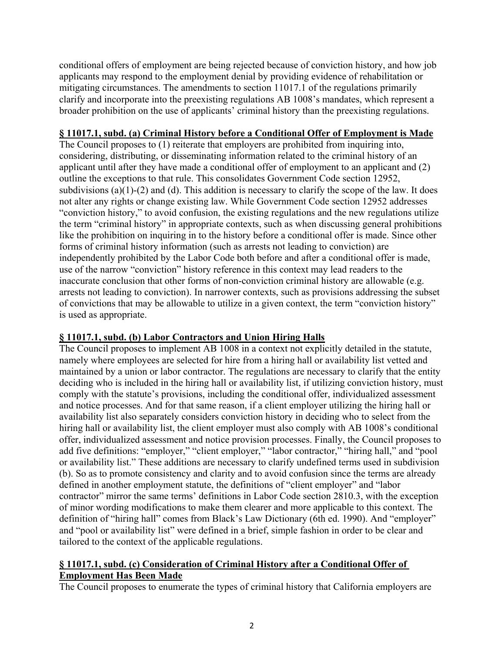conditional offers of employment are being rejected because of conviction history, and how job applicants may respond to the employment denial by providing evidence of rehabilitation or mitigating circumstances. The amendments to section 11017.1 of the regulations primarily clarify and incorporate into the preexisting regulations AB 1008's mandates, which represent a broader prohibition on the use of applicants' criminal history than the preexisting regulations.

#### **§ 11017.1, subd. (a) Criminal History before a Conditional Offer of Employment is Made**

The Council proposes to (1) reiterate that employers are prohibited from inquiring into, considering, distributing, or disseminating information related to the criminal history of an applicant until after they have made a conditional offer of employment to an applicant and (2) outline the exceptions to that rule. This consolidates Government Code section 12952, subdivisions (a)(1)-(2) and (d). This addition is necessary to clarify the scope of the law. It does not alter any rights or change existing law. While Government Code section 12952 addresses "conviction history," to avoid confusion, the existing regulations and the new regulations utilize the term "criminal history" in appropriate contexts, such as when discussing general prohibitions like the prohibition on inquiring in to the history before a conditional offer is made. Since other forms of criminal history information (such as arrests not leading to conviction) are independently prohibited by the Labor Code both before and after a conditional offer is made, use of the narrow "conviction" history reference in this context may lead readers to the inaccurate conclusion that other forms of non-conviction criminal history are allowable (e.g. arrests not leading to conviction). In narrower contexts, such as provisions addressing the subset of convictions that may be allowable to utilize in a given context, the term "conviction history" is used as appropriate.

#### **§ 11017.1, subd. (b) Labor Contractors and Union Hiring Halls**

The Council proposes to implement AB 1008 in a context not explicitly detailed in the statute, namely where employees are selected for hire from a hiring hall or availability list vetted and maintained by a union or labor contractor. The regulations are necessary to clarify that the entity deciding who is included in the hiring hall or availability list, if utilizing conviction history, must comply with the statute's provisions, including the conditional offer, individualized assessment and notice processes. And for that same reason, if a client employer utilizing the hiring hall or availability list also separately considers conviction history in deciding who to select from the hiring hall or availability list, the client employer must also comply with AB 1008's conditional offer, individualized assessment and notice provision processes. Finally, the Council proposes to add five definitions: "employer," "client employer," "labor contractor," "hiring hall," and "pool or availability list." These additions are necessary to clarify undefined terms used in subdivision (b). So as to promote consistency and clarity and to avoid confusion since the terms are already defined in another employment statute, the definitions of "client employer" and "labor contractor" mirror the same terms' definitions in Labor Code section 2810.3, with the exception of minor wording modifications to make them clearer and more applicable to this context. The definition of "hiring hall" comes from Black's Law Dictionary (6th ed. 1990). And "employer" and "pool or availability list" were defined in a brief, simple fashion in order to be clear and tailored to the context of the applicable regulations.

#### **§ 11017.1, subd. (c) Consideration of Criminal History after a Conditional Offer of Employment Has Been Made**

The Council proposes to enumerate the types of criminal history that California employers are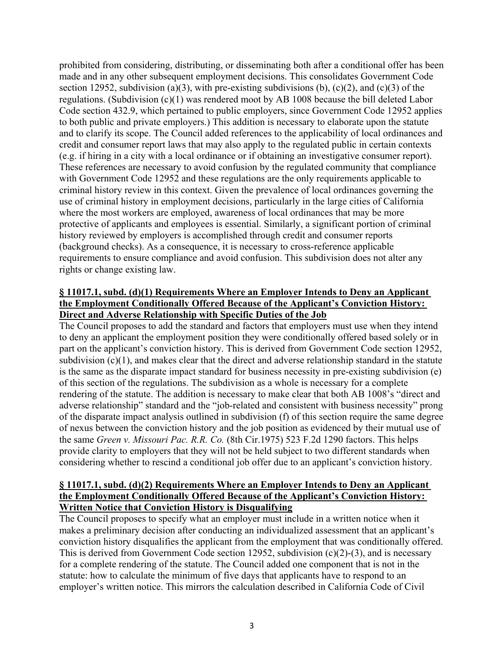prohibited from considering, distributing, or disseminating both after a conditional offer has been made and in any other subsequent employment decisions. This consolidates Government Code section 12952, subdivision (a)(3), with pre-existing subdivisions (b),  $(c)(2)$ , and  $(c)(3)$  of the regulations. (Subdivision (c)(1) was rendered moot by AB 1008 because the bill deleted Labor Code section 432.9, which pertained to public employers, since Government Code 12952 applies to both public and private employers.) This addition is necessary to elaborate upon the statute and to clarify its scope. The Council added references to the applicability of local ordinances and credit and consumer report laws that may also apply to the regulated public in certain contexts (e.g. if hiring in a city with a local ordinance or if obtaining an investigative consumer report). These references are necessary to avoid confusion by the regulated community that compliance with Government Code 12952 and these regulations are the only requirements applicable to criminal history review in this context. Given the prevalence of local ordinances governing the use of criminal history in employment decisions, particularly in the large cities of California where the most workers are employed, awareness of local ordinances that may be more protective of applicants and employees is essential. Similarly, a significant portion of criminal history reviewed by employers is accomplished through credit and consumer reports (background checks). As a consequence, it is necessary to cross-reference applicable requirements to ensure compliance and avoid confusion. This subdivision does not alter any rights or change existing law.

#### **§ 11017.1, subd. (d)(1) Requirements Where an Employer Intends to Deny an Applicant the Employment Conditionally Offered Because of the Applicant's Conviction History: Direct and Adverse Relationship with Specific Duties of the Job**

The Council proposes to add the standard and factors that employers must use when they intend to deny an applicant the employment position they were conditionally offered based solely or in part on the applicant's conviction history. This is derived from Government Code section 12952, subdivision (c)(1), and makes clear that the direct and adverse relationship standard in the statute is the same as the disparate impact standard for business necessity in pre-existing subdivision (e) of this section of the regulations. The subdivision as a whole is necessary for a complete rendering of the statute. The addition is necessary to make clear that both AB 1008's "direct and adverse relationship" standard and the "job-related and consistent with business necessity" prong of the disparate impact analysis outlined in subdivision (f) of this section require the same degree of nexus between the conviction history and the job position as evidenced by their mutual use of the same *Green v. Missouri Pac. R.R. Co.* (8th Cir.1975) 523 F.2d 1290 factors. This helps provide clarity to employers that they will not be held subject to two different standards when considering whether to rescind a conditional job offer due to an applicant's conviction history.

#### **§ 11017.1, subd. (d)(2) Requirements Where an Employer Intends to Deny an Applicant the Employment Conditionally Offered Because of the Applicant's Conviction History: Written Notice that Conviction History is Disqualifying**

The Council proposes to specify what an employer must include in a written notice when it makes a preliminary decision after conducting an individualized assessment that an applicant's conviction history disqualifies the applicant from the employment that was conditionally offered. This is derived from Government Code section 12952, subdivision (c)(2)-(3), and is necessary for a complete rendering of the statute. The Council added one component that is not in the statute: how to calculate the minimum of five days that applicants have to respond to an employer's written notice. This mirrors the calculation described in California Code of Civil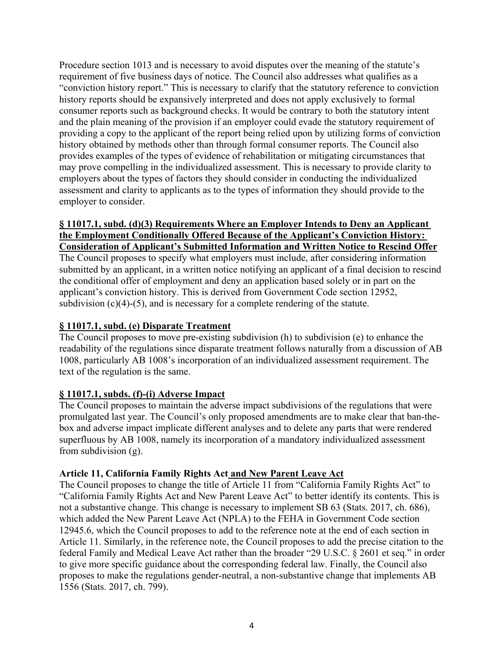Procedure section 1013 and is necessary to avoid disputes over the meaning of the statute's requirement of five business days of notice. The Council also addresses what qualifies as a "conviction history report." This is necessary to clarify that the statutory reference to conviction history reports should be expansively interpreted and does not apply exclusively to formal consumer reports such as background checks. It would be contrary to both the statutory intent and the plain meaning of the provision if an employer could evade the statutory requirement of providing a copy to the applicant of the report being relied upon by utilizing forms of conviction history obtained by methods other than through formal consumer reports. The Council also provides examples of the types of evidence of rehabilitation or mitigating circumstances that may prove compelling in the individualized assessment. This is necessary to provide clarity to employers about the types of factors they should consider in conducting the individualized assessment and clarity to applicants as to the types of information they should provide to the employer to consider.

#### **§ 11017.1, subd. (d)(3) Requirements Where an Employer Intends to Deny an Applicant the Employment Conditionally Offered Because of the Applicant's Conviction History: Consideration of Applicant's Submitted Information and Written Notice to Rescind Offer**

The Council proposes to specify what employers must include, after considering information submitted by an applicant, in a written notice notifying an applicant of a final decision to rescind the conditional offer of employment and deny an application based solely or in part on the applicant's conviction history. This is derived from Government Code section 12952, subdivision  $(c)(4)$ -(5), and is necessary for a complete rendering of the statute.

#### **§ 11017.1, subd. (e) Disparate Treatment**

The Council proposes to move pre-existing subdivision (h) to subdivision (e) to enhance the readability of the regulations since disparate treatment follows naturally from a discussion of AB 1008, particularly AB 1008's incorporation of an individualized assessment requirement. The text of the regulation is the same.

### **§ 11017.1, subds. (f)-(i) Adverse Impact**

The Council proposes to maintain the adverse impact subdivisions of the regulations that were promulgated last year. The Council's only proposed amendments are to make clear that ban-thebox and adverse impact implicate different analyses and to delete any parts that were rendered superfluous by AB 1008, namely its incorporation of a mandatory individualized assessment from subdivision (g).

#### **Article 11, California Family Rights Act and New Parent Leave Act**

The Council proposes to change the title of Article 11 from "California Family Rights Act" to "California Family Rights Act and New Parent Leave Act" to better identify its contents. This is not a substantive change. This change is necessary to implement SB 63 (Stats. 2017, ch. 686), which added the New Parent Leave Act (NPLA) to the FEHA in Government Code section 12945.6, which the Council proposes to add to the reference note at the end of each section in Article 11. Similarly, in the reference note, the Council proposes to add the precise citation to the federal Family and Medical Leave Act rather than the broader "29 U.S.C. § 2601 et seq." in order to give more specific guidance about the corresponding federal law. Finally, the Council also proposes to make the regulations gender-neutral, a non-substantive change that implements AB 1556 (Stats. 2017, ch. 799).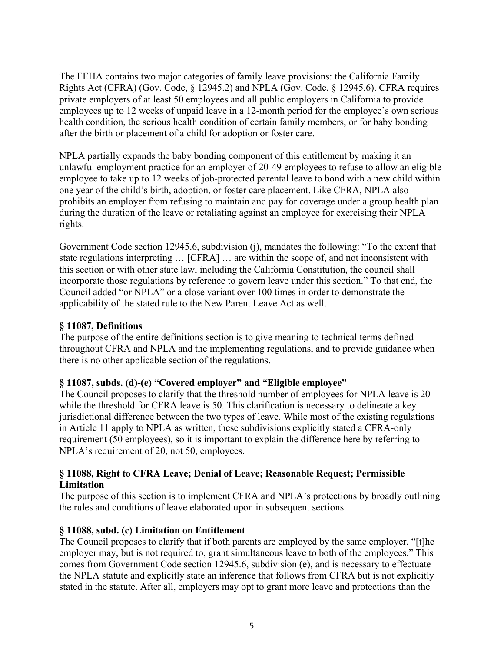The FEHA contains two major categories of family leave provisions: the California Family Rights Act (CFRA) (Gov. Code, § 12945.2) and NPLA (Gov. Code, § 12945.6). CFRA requires private employers of at least 50 employees and all public employers in California to provide employees up to 12 weeks of unpaid leave in a 12-month period for the employee's own serious health condition, the serious health condition of certain family members, or for baby bonding after the birth or placement of a child for adoption or foster care.

NPLA partially expands the baby bonding component of this entitlement by making it an unlawful employment practice for an employer of 20-49 employees to refuse to allow an eligible employee to take up to 12 weeks of job-protected parental leave to bond with a new child within one year of the child's birth, adoption, or foster care placement. Like CFRA, NPLA also prohibits an employer from refusing to maintain and pay for coverage under a group health plan during the duration of the leave or retaliating against an employee for exercising their NPLA rights.

Government Code section 12945.6, subdivision (j), mandates the following: "To the extent that state regulations interpreting … [CFRA] … are within the scope of, and not inconsistent with this section or with other state law, including the California Constitution, the council shall incorporate those regulations by reference to govern leave under this section." To that end, the Council added "or NPLA" or a close variant over 100 times in order to demonstrate the applicability of the stated rule to the New Parent Leave Act as well.

#### **§ 11087, Definitions**

The purpose of the entire definitions section is to give meaning to technical terms defined throughout CFRA and NPLA and the implementing regulations, and to provide guidance when there is no other applicable section of the regulations.

#### **§ 11087, subds. (d)-(e) "Covered employer" and "Eligible employee"**

The Council proposes to clarify that the threshold number of employees for NPLA leave is 20 while the threshold for CFRA leave is 50. This clarification is necessary to delineate a key jurisdictional difference between the two types of leave. While most of the existing regulations in Article 11 apply to NPLA as written, these subdivisions explicitly stated a CFRA-only requirement (50 employees), so it is important to explain the difference here by referring to NPLA's requirement of 20, not 50, employees.

#### **§ 11088, Right to CFRA Leave; Denial of Leave; Reasonable Request; Permissible Limitation**

The purpose of this section is to implement CFRA and NPLA's protections by broadly outlining the rules and conditions of leave elaborated upon in subsequent sections.

#### **§ 11088, subd. (c) Limitation on Entitlement**

The Council proposes to clarify that if both parents are employed by the same employer, "[t]he employer may, but is not required to, grant simultaneous leave to both of the employees." This comes from Government Code section 12945.6, subdivision (e), and is necessary to effectuate the NPLA statute and explicitly state an inference that follows from CFRA but is not explicitly stated in the statute. After all, employers may opt to grant more leave and protections than the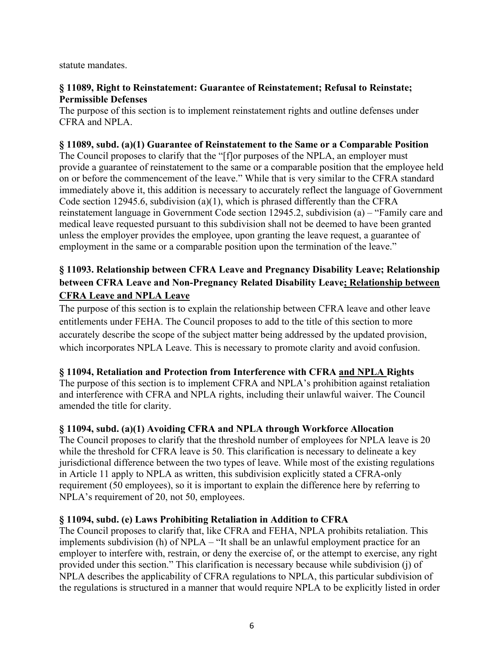statute mandates.

#### **§ 11089, Right to Reinstatement: Guarantee of Reinstatement; Refusal to Reinstate; Permissible Defenses**

The purpose of this section is to implement reinstatement rights and outline defenses under CFRA and NPLA.

#### **§ 11089, subd. (a)(1) Guarantee of Reinstatement to the Same or a Comparable Position**

The Council proposes to clarify that the "[f]or purposes of the NPLA, an employer must provide a guarantee of reinstatement to the same or a comparable position that the employee held on or before the commencement of the leave." While that is very similar to the CFRA standard immediately above it, this addition is necessary to accurately reflect the language of Government Code section 12945.6, subdivision (a)(1), which is phrased differently than the CFRA reinstatement language in Government Code section 12945.2, subdivision (a) – "Family care and medical leave requested pursuant to this subdivision shall not be deemed to have been granted unless the employer provides the employee, upon granting the leave request, a guarantee of employment in the same or a comparable position upon the termination of the leave."

## **§ 11093. Relationship between CFRA Leave and Pregnancy Disability Leave; Relationship between CFRA Leave and Non-Pregnancy Related Disability Leave; Relationship between CFRA Leave and NPLA Leave**

The purpose of this section is to explain the relationship between CFRA leave and other leave entitlements under FEHA. The Council proposes to add to the title of this section to more accurately describe the scope of the subject matter being addressed by the updated provision, which incorporates NPLA Leave. This is necessary to promote clarity and avoid confusion.

#### **§ 11094, Retaliation and Protection from Interference with CFRA and NPLA Rights**

The purpose of this section is to implement CFRA and NPLA's prohibition against retaliation and interference with CFRA and NPLA rights, including their unlawful waiver. The Council amended the title for clarity.

#### **§ 11094, subd. (a)(1) Avoiding CFRA and NPLA through Workforce Allocation**

The Council proposes to clarify that the threshold number of employees for NPLA leave is 20 while the threshold for CFRA leave is 50. This clarification is necessary to delineate a key jurisdictional difference between the two types of leave. While most of the existing regulations in Article 11 apply to NPLA as written, this subdivision explicitly stated a CFRA-only requirement (50 employees), so it is important to explain the difference here by referring to NPLA's requirement of 20, not 50, employees.

#### **§ 11094, subd. (e) Laws Prohibiting Retaliation in Addition to CFRA**

The Council proposes to clarify that, like CFRA and FEHA, NPLA prohibits retaliation. This implements subdivision (h) of NPLA – "It shall be an unlawful employment practice for an employer to interfere with, restrain, or deny the exercise of, or the attempt to exercise, any right provided under this section." This clarification is necessary because while subdivision (j) of NPLA describes the applicability of CFRA regulations to NPLA, this particular subdivision of the regulations is structured in a manner that would require NPLA to be explicitly listed in order